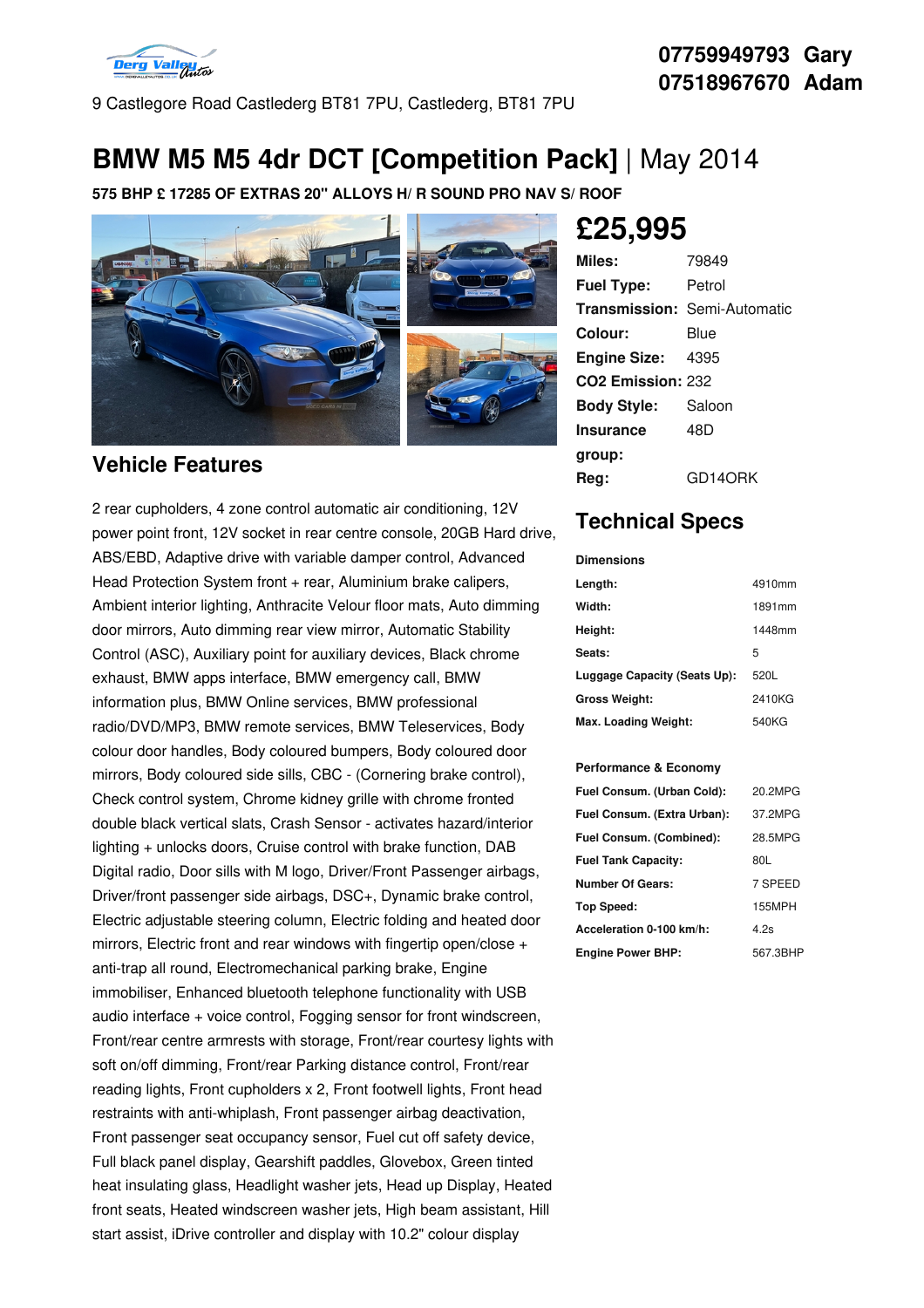

9 Castlegore Road Castlederg BT81 7PU, Castlederg, BT81 7PU

## **BMW M5 M5 4dr DCT [Competition Pack]** | May 2014

**575 BHP £ 17285 OF EXTRAS 20" ALLOYS H/ R SOUND PRO NAV S/ ROOF**



### **Vehicle Features**

2 rear cupholders, 4 zone control automatic air conditioning, 12V power point front, 12V socket in rear centre console, 20GB Hard drive, ABS/EBD, Adaptive drive with variable damper control, Advanced Head Protection System front + rear, Aluminium brake calipers, Ambient interior lighting, Anthracite Velour floor mats, Auto dimming door mirrors, Auto dimming rear view mirror, Automatic Stability Control (ASC), Auxiliary point for auxiliary devices, Black chrome exhaust, BMW apps interface, BMW emergency call, BMW information plus, BMW Online services, BMW professional radio/DVD/MP3, BMW remote services, BMW Teleservices, Body colour door handles, Body coloured bumpers, Body coloured door mirrors, Body coloured side sills, CBC - (Cornering brake control), Check control system, Chrome kidney grille with chrome fronted double black vertical slats, Crash Sensor - activates hazard/interior lighting + unlocks doors, Cruise control with brake function, DAB Digital radio, Door sills with M logo, Driver/Front Passenger airbags, Driver/front passenger side airbags, DSC+, Dynamic brake control, Electric adjustable steering column, Electric folding and heated door mirrors, Electric front and rear windows with fingertip open/close + anti-trap all round, Electromechanical parking brake, Engine immobiliser, Enhanced bluetooth telephone functionality with USB audio interface + voice control, Fogging sensor for front windscreen, Front/rear centre armrests with storage, Front/rear courtesy lights with soft on/off dimming, Front/rear Parking distance control, Front/rear reading lights, Front cupholders x 2, Front footwell lights, Front head restraints with anti-whiplash, Front passenger airbag deactivation, Front passenger seat occupancy sensor, Fuel cut off safety device, Full black panel display, Gearshift paddles, Glovebox, Green tinted heat insulating glass, Headlight washer jets, Head up Display, Heated front seats, Heated windscreen washer jets, High beam assistant, Hill start assist, iDrive controller and display with 10.2" colour display

# **£25,995**

| Miles:                        | 79849                               |
|-------------------------------|-------------------------------------|
| <b>Fuel Type:</b>             | Petrol                              |
|                               | <b>Transmission: Semi-Automatic</b> |
| Colour:                       | Blue                                |
| <b>Engine Size: 4395</b>      |                                     |
| CO <sub>2</sub> Emission: 232 |                                     |
| <b>Body Style:</b>            | Saloon                              |
| <b>Insurance</b>              | 48D                                 |
| group:                        |                                     |
| Rea:                          | GD14ORK                             |

## **Technical Specs**

| <b>Dimensions</b>            |        |
|------------------------------|--------|
| Length:                      | 4910mm |
| Width:                       | 1891mm |
| Height:                      | 1448mm |
| Seats:                       | 5      |
| Luggage Capacity (Seats Up): | 520L   |
| <b>Gross Weight:</b>         | 2410KG |
| Max. Loading Weight:         | 540KG  |

#### **Performance & Economy**

| Fuel Consum. (Urban Cold):  | 20.2MPG  |
|-----------------------------|----------|
| Fuel Consum. (Extra Urban): | 37.2MPG  |
| Fuel Consum. (Combined):    | 28.5MPG  |
| <b>Fuel Tank Capacity:</b>  | 80L      |
| <b>Number Of Gears:</b>     | 7 SPEED  |
| <b>Top Speed:</b>           | 155MPH   |
| Acceleration 0-100 km/h:    | 4.2s     |
| <b>Engine Power BHP:</b>    | 567.3BHP |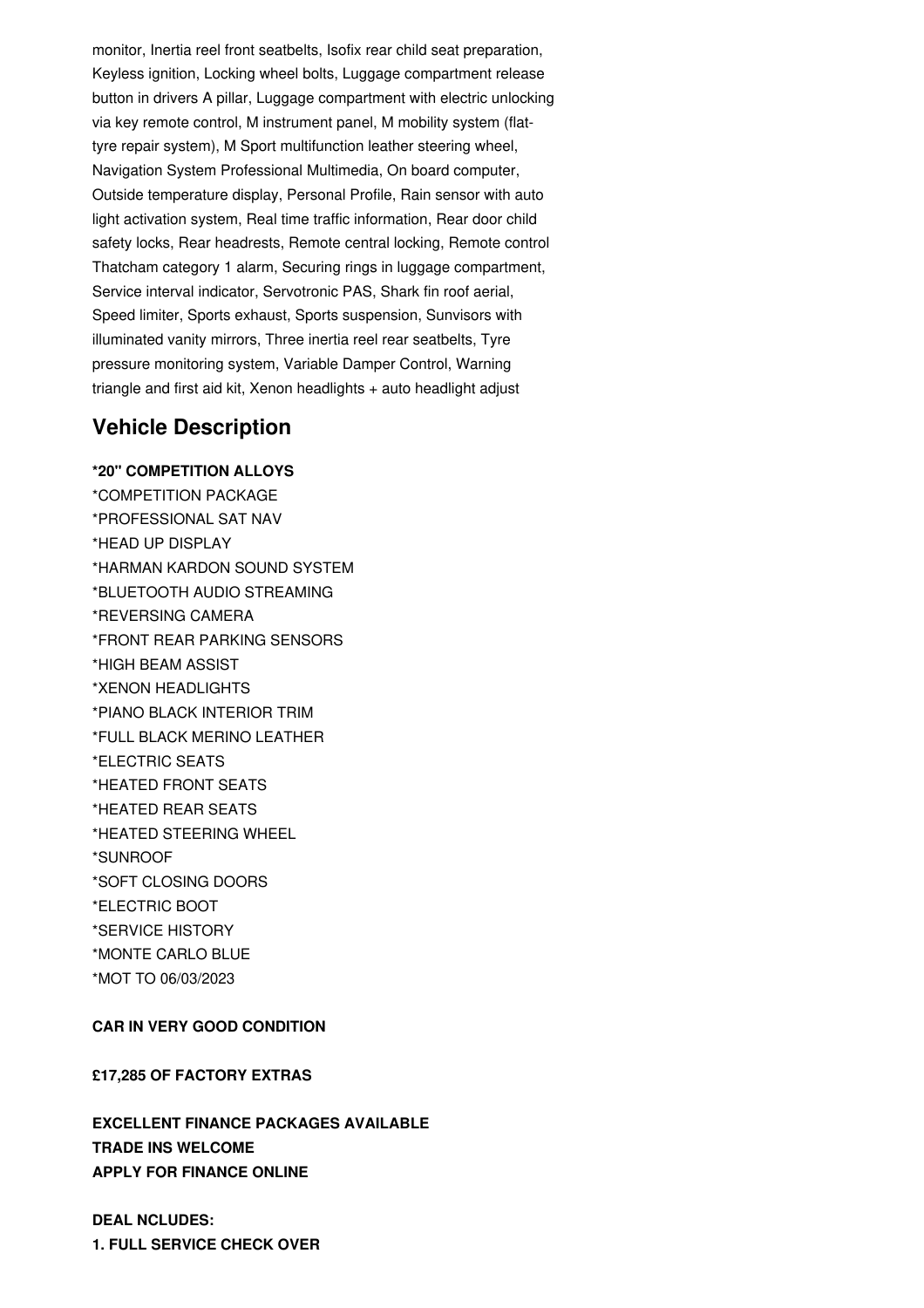monitor, Inertia reel front seatbelts, Isofix rear child seat preparation, Keyless ignition, Locking wheel bolts, Luggage compartment release button in drivers A pillar, Luggage compartment with electric unlocking via key remote control, M instrument panel, M mobility system (flattyre repair system), M Sport multifunction leather steering wheel, Navigation System Professional Multimedia, On board computer, Outside temperature display, Personal Profile, Rain sensor with auto light activation system, Real time traffic information, Rear door child safety locks, Rear headrests, Remote central locking, Remote control Thatcham category 1 alarm, Securing rings in luggage compartment, Service interval indicator, Servotronic PAS, Shark fin roof aerial, Speed limiter, Sports exhaust, Sports suspension, Sunvisors with illuminated vanity mirrors, Three inertia reel rear seatbelts, Tyre pressure monitoring system, Variable Damper Control, Warning triangle and first aid kit, Xenon headlights + auto headlight adjust

### **Vehicle Description**

**\*20" COMPETITION ALLOYS** \*COMPETITION PACKAGE \*PROFESSIONAL SAT NAV \*HEAD UP DISPLAY \*HARMAN KARDON SOUND SYSTEM \*BLUETOOTH AUDIO STREAMING \*REVERSING CAMERA \*FRONT REAR PARKING SENSORS \*HIGH BEAM ASSIST \*XENON HEADLIGHTS \*PIANO BLACK INTERIOR TRIM \*FULL BLACK MERINO LEATHER \*ELECTRIC SEATS \*HEATED FRONT SEATS \*HEATED REAR SEATS \*HEATED STEERING WHEEL \*SUNROOF \*SOFT CLOSING DOORS \*ELECTRIC BOOT \*SERVICE HISTORY \*MONTE CARLO BLUE \*MOT TO 06/03/2023

#### **CAR IN VERY GOOD CONDITION**

#### **£17,285 OF FACTORY EXTRAS**

**EXCELLENT FINANCE PACKAGES AVAILABLE TRADE INS WELCOME APPLY FOR FINANCE ONLINE**

**DEAL NCLUDES: 1. FULL SERVICE CHECK OVER**